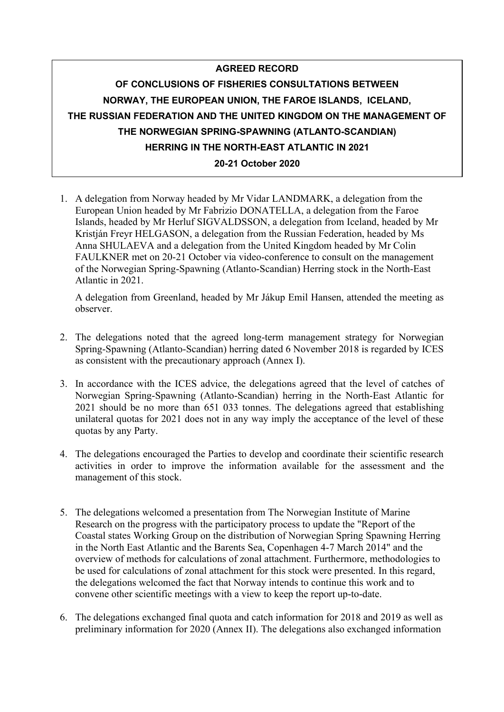## **AGREED RECORD OF CONCLUSIONS OF FISHERIES CONSULTATIONS BETWEEN NORWAY, THE EUROPEAN UNION, THE FAROE ISLANDS, ICELAND, THE RUSSIAN FEDERATION AND THE UNITED KINGDOM ON THE MANAGEMENT OF THE NORWEGIAN SPRING-SPAWNING (ATLANTO-SCANDIAN) HERRING IN THE NORTH-EAST ATLANTIC IN 2021 20-21 October 2020**

1. A delegation from Norway headed by Mr Vidar LANDMARK, a delegation from the European Union headed by Mr Fabrizio DONATELLA, a delegation from the Faroe Islands, headed by Mr Herluf SIGVALDSSON, a delegation from Iceland, headed by Mr Kristján Freyr HELGASON, a delegation from the Russian Federation, headed by Ms Anna SHULAEVA and a delegation from the United Kingdom headed by Mr Colin FAULKNER met on 20-21 October via video-conference to consult on the management of the Norwegian Spring-Spawning (Atlanto-Scandian) Herring stock in the North-East Atlantic in 2021.

A delegation from Greenland, headed by Mr Jákup Emil Hansen, attended the meeting as observer.

- 2. The delegations noted that the agreed long-term management strategy for Norwegian Spring-Spawning (Atlanto-Scandian) herring dated 6 November 2018 is regarded by ICES as consistent with the precautionary approach (Annex I).
- 3. In accordance with the ICES advice, the delegations agreed that the level of catches of Norwegian Spring-Spawning (Atlanto-Scandian) herring in the North-East Atlantic for 2021 should be no more than 651 033 tonnes. The delegations agreed that establishing unilateral quotas for 2021 does not in any way imply the acceptance of the level of these quotas by any Party.
- 4. The delegations encouraged the Parties to develop and coordinate their scientific research activities in order to improve the information available for the assessment and the management of this stock.
- 5. The delegations welcomed a presentation from The Norwegian Institute of Marine Research on the progress with the participatory process to update the "Report of the Coastal states Working Group on the distribution of Norwegian Spring Spawning Herring in the North East Atlantic and the Barents Sea, Copenhagen 4-7 March 2014" and the overview of methods for calculations of zonal attachment. Furthermore, methodologies to be used for calculations of zonal attachment for this stock were presented. In this regard, the delegations welcomed the fact that Norway intends to continue this work and to convene other scientific meetings with a view to keep the report up-to-date.
- 6. The delegations exchanged final quota and catch information for 2018 and 2019 as well as preliminary information for 2020 (Annex II). The delegations also exchanged information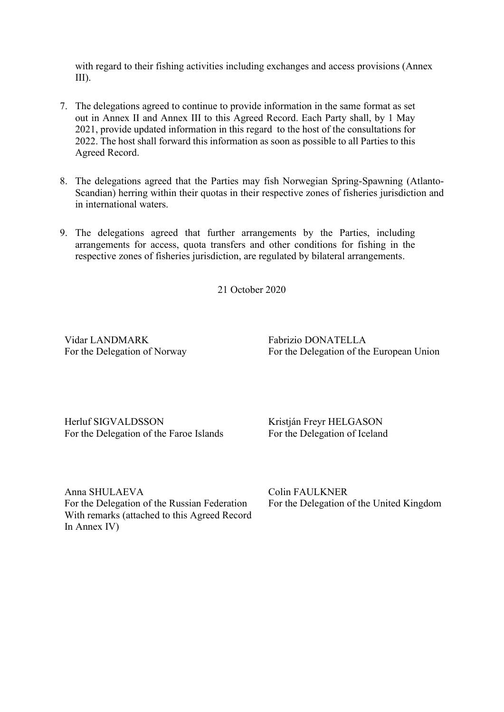with regard to their fishing activities including exchanges and access provisions (Annex III).

- 7. The delegations agreed to continue to provide information in the same format as set out in Annex II and Annex III to this Agreed Record. Each Party shall, by 1 May 2021, provide updated information in this regard to the host of the consultations for 2022. The host shall forward this information as soon as possible to all Parties to this Agreed Record.
- 8. The delegations agreed that the Parties may fish Norwegian Spring-Spawning (Atlanto-Scandian) herring within their quotas in their respective zones of fisheries jurisdiction and in international waters.
- 9. The delegations agreed that further arrangements by the Parties, including arrangements for access, quota transfers and other conditions for fishing in the respective zones of fisheries jurisdiction, are regulated by bilateral arrangements.

21 October 2020

Vidar LANDMARK For the Delegation of Norway Fabrizio DONATELLA For the Delegation of the European Union

Herluf SIGVALDSSON For the Delegation of the Faroe Islands

Kristján Freyr HELGASON For the Delegation of Iceland

Anna SHULAEVA For the Delegation of the Russian Federation With remarks (attached to this Agreed Record In Annex IV)

Colin FAULKNER For the Delegation of the United Kingdom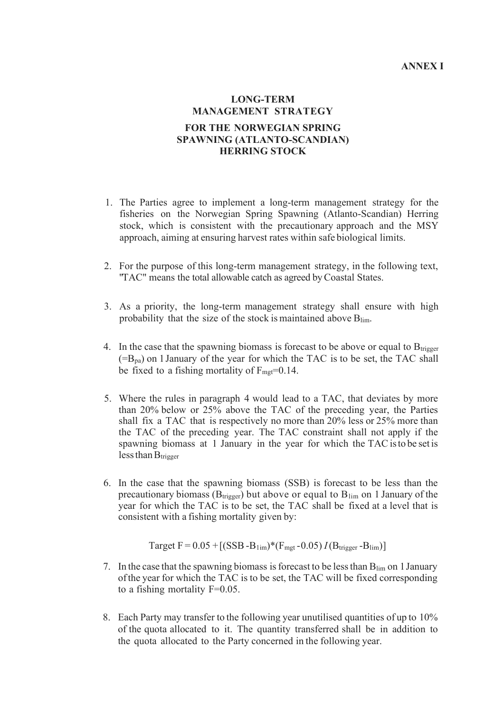#### **ANNEX I**

### **LONG-TERM MANAGEMENT STRATEGY FOR THE NORWEGIAN SPRING SPAWNING (ATLANTO-SCANDIAN) HERRING STOCK**

- 1. The Parties agree to implement a long-term management strategy for the fisheries on the Norwegian Spring Spawning (Atlanto-Scandian) Herring stock, which is consistent with the precautionary approach and the MSY approach, aiming at ensuring harvest rates within safe biological limits.
- 2. For the purpose of this long-term management strategy, in the following text, "TAC" means the total allowable catch as agreed byCoastal States.
- 3. As a priority, the long-term management strategy shall ensure with high probability that the size of the stock is maintained above Blim.
- 4. In the case that the spawning biomass is forecast to be above or equal to  $B_{\text{trigger}}$  $(=B_{pa})$  on 1 January of the year for which the TAC is to be set, the TAC shall be fixed to a fishing mortality of  $F_{\text{met}}=0.14$ .
- 5. Where the rules in paragraph 4 would lead to a TAC, that deviates by more than 20% below or 25% above the TAC of the preceding year, the Parties shall fix a TAC that is respectively no more than 20% less or 25% more than the TAC of the preceding year. The TAC constraint shall not apply if the spawning biomass at 1 January in the year for which the TAC is to be set is less than  $B_{trigger}$
- 6. In the case that the spawning biomass (SSB) is forecast to be less than the precautionary biomass ( $B_{trigger}$ ) but above or equal to  $B_{lim}$  on 1 January of the year for which the TAC is to be set, the TAC shall be fixed at a level that is consistent with a fishing mortality given by:

Target F = 
$$
0.05 + [(SSB - B_{1im})*(F_{mgt} - 0.05) I(B_{trigger} - B_{lim})]
$$

- 7. In the case that the spawning biomass isforecast to be lessthan Blim on 1January ofthe year for which the TAC is to be set, the TAC will be fixed corresponding to a fishing mortality F=0.05.
- 8. Each Party may transfer to the following year unutilised quantities of up to 10% of the quota allocated to it. The quantity transferred shall be in addition to the quota allocated to the Party concerned in the following year.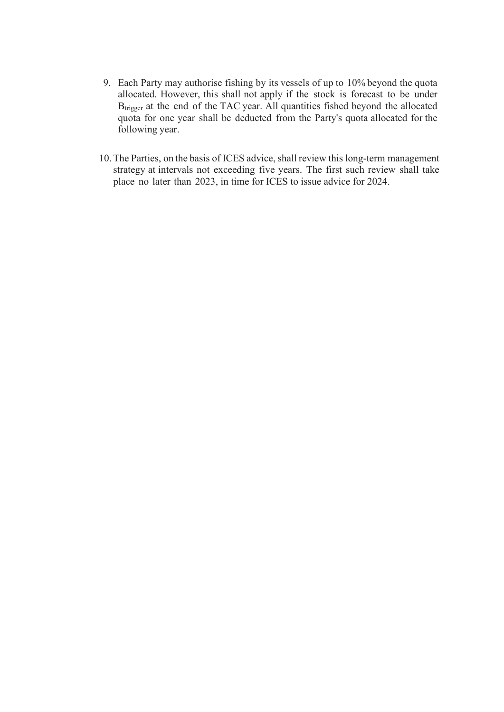- 9. Each Party may authorise fishing by its vessels of up to 10% beyond the quota allocated. However, this shall not apply if the stock is forecast to be under B<sub>trigger</sub> at the end of the TAC year. All quantities fished beyond the allocated quota for one year shall be deducted from the Party's quota allocated for the following year.
- 10.The Parties, on the basis of ICES advice, shall review this long-term management strategy at intervals not exceeding five years. The first such review shall take place no later than 2023, in time for ICES to issue advice for 2024.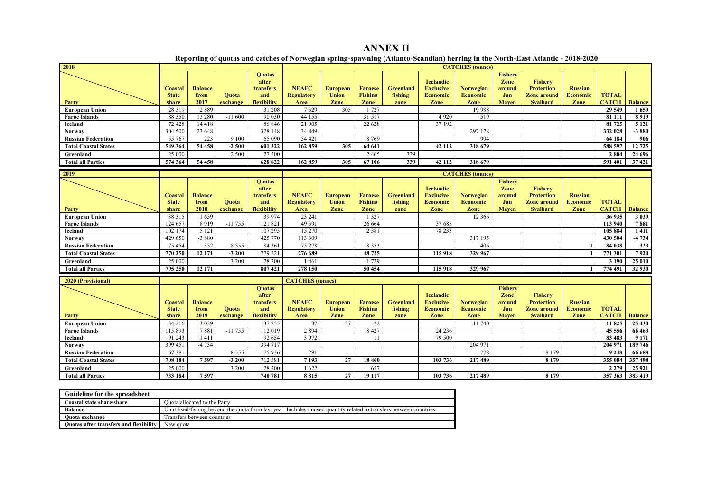**ANNEX II Reporting of quotas and catches of Norwegian spring-spawning (Atlanto-Scandian) herring in the North-East Atlantic - 2018-2020**

| 2018                                                 |                                         |                                |                          | <b>CATCHES</b> (tonnes)                                   |                                           |                                         |                                          |                                     |                                                                 |                                             |                                                         |                                                                              |                                           |                              |                |
|------------------------------------------------------|-----------------------------------------|--------------------------------|--------------------------|-----------------------------------------------------------|-------------------------------------------|-----------------------------------------|------------------------------------------|-------------------------------------|-----------------------------------------------------------------|---------------------------------------------|---------------------------------------------------------|------------------------------------------------------------------------------|-------------------------------------------|------------------------------|----------------|
| Party                                                | Coastal<br><b>State</b><br>share        | <b>Balance</b><br>from<br>2017 | <b>Ouota</b><br>exchange | <b>Ouotas</b><br>after<br>transfers<br>and<br>flexibility | <b>NEAFC</b><br><b>Regulatory</b><br>Area | <b>European</b><br><b>Union</b><br>Zone | <b>Faroese</b><br><b>Fishing</b><br>Zone | <b>Greenland</b><br>fishing<br>zone | <b>Icelandic</b><br><b>Exclusive</b><br><b>Economic</b><br>Zone | Norwegian<br><b>Economic</b><br>Zone        | <b>Fishery</b><br>Zone<br>around<br>Jan<br><b>Mayen</b> | Fishery<br><b>Protection</b><br><b>Zone around</b><br><b>Svalbard</b>        | <b>Russian</b><br><b>Economic</b><br>Zone | <b>TOTAL</b><br><b>CATCH</b> | <b>Balance</b> |
| <b>European Union</b>                                | 28 3 19                                 | 2889                           |                          | 31 208                                                    | 7 5 2 9                                   | 305                                     | 1727                                     |                                     |                                                                 | 19 988                                      |                                                         |                                                                              |                                           | 29 549                       | 1659           |
| <b>Faroe Islands</b>                                 | 88 350                                  | 13 280                         | $-11600$                 | 90 030                                                    | 44 155                                    |                                         | 31 517                                   |                                     | 4 9 2 0                                                         | 519                                         |                                                         |                                                                              |                                           | 81 111                       | 8 9 1 9        |
| Iceland                                              | 72 428                                  | 14418                          |                          | 86 846                                                    | 21 905                                    |                                         | 22 6 28                                  |                                     | 37 192                                                          |                                             |                                                         |                                                                              |                                           | 81 725                       | 5 1 2 1        |
| <b>Norway</b>                                        | 304 500                                 | 23 648                         |                          | 328 148                                                   | 34 849                                    |                                         |                                          |                                     |                                                                 | 297 178                                     |                                                         |                                                                              |                                           | 332 028                      | $-3880$        |
| <b>Russian Federation</b>                            | 55 767                                  | 223                            | 9 1 0 0                  | 65 090                                                    | 54 421                                    |                                         | 8 7 6 9                                  |                                     |                                                                 | 994                                         |                                                         |                                                                              |                                           | 64 184                       | 906            |
| <b>Total Coastal States</b>                          | 549 364                                 | 54 458                         | $-2500$                  | 601 322                                                   | 162 859                                   | 305                                     | 64 641                                   |                                     | 42 112                                                          | 318 679                                     |                                                         |                                                                              |                                           | 588 597                      | 12 725         |
| Greenland                                            | 25 000                                  |                                | 2 500                    | 27 500                                                    |                                           |                                         | 2465                                     | 339                                 |                                                                 |                                             |                                                         |                                                                              |                                           | 2 8 0 4                      | 24 69 6        |
| <b>Total all Parties</b>                             | 574 364                                 | 54 458                         |                          | 628 822                                                   | 162 859                                   | 305                                     | 67 106                                   | 339                                 | 42 112                                                          | 318 679                                     |                                                         |                                                                              |                                           | 591 401                      | 37421          |
| 2019                                                 |                                         |                                |                          |                                                           |                                           |                                         |                                          |                                     | <b>CATCHES</b> (tonnes)                                         |                                             |                                                         |                                                                              |                                           |                              |                |
|                                                      | <b>Coastal</b><br><b>State</b>          | <b>Balance</b><br>from         | <b>Ouota</b>             | <b>Quotas</b><br>after<br>transfers<br>and                | <b>NEAFC</b><br><b>Regulatory</b>         | <b>European</b><br><b>Union</b>         | <b>Faroese</b><br><b>Fishing</b>         | <b>Greenland</b><br>fishing         | <b>Icelandic</b><br><b>Exclusive</b><br><b>Economic</b>         | <b>Norwegian</b><br><b>Economic</b>         | <b>Fishery</b><br>Zone<br>around<br>Jan                 | <b>Fishery</b><br><b>Protection</b><br><b>Zone around</b>                    | <b>Russian</b><br><b>Economic</b>         | <b>TOTAL</b>                 |                |
| Party                                                | share                                   | 2018                           | exchange                 | flexibility                                               | Area                                      | Zone                                    | Zone                                     | zone                                | Zone                                                            | Zone                                        | <b>Mayen</b>                                            | <b>Svalbard</b>                                                              | Zone                                      | <b>CATCH</b>                 | <b>Balance</b> |
| <b>European Union</b>                                | 38 31 5                                 | 1659                           |                          | 39 974                                                    | 23 24 1                                   |                                         | 1 3 2 7                                  |                                     |                                                                 | 12 3 6 6                                    |                                                         |                                                                              |                                           | 36 935                       | 3 0 3 9        |
| <b>Faroe Islands</b>                                 | 124 657                                 | 8 9 1 9                        | $-11755$                 | 121 821                                                   | 49 591                                    |                                         | 26 6 6 4                                 |                                     | 37 685                                                          |                                             |                                                         |                                                                              |                                           | 113 940                      | 7881           |
| Iceland                                              | 102 174                                 | 5 1 2 1                        |                          | 107 295                                                   | 15 270                                    |                                         | 12 3 8 1                                 |                                     | 78 233                                                          |                                             |                                                         |                                                                              |                                           | 105 884                      | 1 4 1 1        |
| <b>Norway</b>                                        | 429 650                                 | $-3880$                        |                          | 425 770                                                   | 113 309                                   |                                         |                                          |                                     |                                                                 | 317 195                                     |                                                         |                                                                              |                                           | 430 504                      | $-4734$        |
| <b>Russian Federation</b>                            | 75 454                                  | 352                            | 8 5 5 5                  | 84 361                                                    | 75 278                                    |                                         | 8 3 5 3                                  |                                     |                                                                 | 406                                         |                                                         |                                                                              |                                           | 84 038                       | 323            |
| <b>Total Coastal States</b>                          | 770 250                                 | 12 171                         | $-3200$                  | 779 221                                                   | 276 689                                   |                                         | 48 725                                   |                                     | 115 918                                                         | 329 967                                     |                                                         |                                                                              |                                           | 771 301                      | 7920           |
| Greenland                                            | 25 000                                  |                                | 3 200                    | 28 200                                                    | 1461                                      |                                         | 1729                                     |                                     |                                                                 |                                             |                                                         |                                                                              |                                           | 3 1 9 0                      | 25 010         |
| <b>Total all Parties</b>                             | 795 250                                 | 12 17 1                        |                          | 807421                                                    | 278 150                                   |                                         | 50 454                                   |                                     | 115 918                                                         | 329 967                                     |                                                         |                                                                              |                                           | 774 491                      | 32 930         |
| <b>2020 (Provisional)</b><br><b>CATCHES</b> (tonnes) |                                         |                                |                          |                                                           |                                           |                                         |                                          |                                     |                                                                 |                                             |                                                         |                                                                              |                                           |                              |                |
| Party                                                | <b>Coastal</b><br><b>State</b><br>share | <b>Balance</b><br>from<br>2019 | <b>Ouota</b><br>exchange | <b>Quotas</b><br>after<br>transfers<br>and<br>flexibility | <b>NEAFC</b><br><b>Regulatory</b><br>Area | <b>European</b><br><b>Union</b><br>Zone | <b>Faroese</b><br><b>Fishing</b><br>Zone | <b>Greenland</b><br>fishing<br>zone | <b>Icelandic</b><br><b>Exclusive</b><br><b>Economic</b><br>Zone | <b>Norwegian</b><br><b>Economic</b><br>Zone | <b>Fishery</b><br>Zone<br>around<br>Jan<br><b>Mayen</b> | <b>Fishery</b><br><b>Protection</b><br><b>Zone around</b><br><b>Svalbard</b> | <b>Russian</b><br><b>Economic</b><br>Zone | <b>TOTAL</b><br><b>CATCH</b> | <b>Balance</b> |
| <b>European Union</b>                                | 34 216                                  | 3 0 3 9                        |                          | 37 255                                                    | 37                                        | 27                                      | 22                                       |                                     |                                                                 | 11 740                                      |                                                         |                                                                              |                                           | 11 825                       | 25 430         |
| <b>Faroe Islands</b>                                 | 115 893                                 | 7881                           | $-11755$                 | 112 019                                                   | 2 8 9 4                                   |                                         | 18 427                                   |                                     | 24 23 6                                                         |                                             |                                                         |                                                                              |                                           | 45 5 5 6                     | 66 463         |
| Iceland                                              | 91 243                                  | 1411                           |                          | 92 654                                                    | 3 9 7 2                                   |                                         | 11                                       |                                     | 79 500                                                          |                                             |                                                         |                                                                              |                                           | 83 483                       | 9 171          |
| <b>Norway</b>                                        | 399 451                                 | $-4734$                        |                          | 394 717                                                   |                                           |                                         |                                          |                                     |                                                                 | 204 971                                     |                                                         |                                                                              |                                           | 204 971                      | 189 746        |
| <b>Russian Federation</b>                            | 67381                                   |                                | 8 5 5 5                  | 75 936                                                    | 291                                       |                                         |                                          |                                     |                                                                 | 778                                         |                                                         | 8 1 7 9                                                                      |                                           | 9 2 4 8                      | 66 688         |
| <b>Total Coastal States</b>                          | 708 184                                 | 7597                           | $-3200$                  | 712 581                                                   | 7193                                      | $\overline{27}$                         | 18 4 60                                  |                                     | 103 736                                                         | 217489                                      |                                                         | 8 1 7 9                                                                      |                                           | 355 084                      | 357 498        |
| Greenland                                            | 25 000                                  |                                | 3 200                    | 28 200                                                    | 1622                                      |                                         | 657                                      |                                     |                                                                 |                                             |                                                         |                                                                              |                                           | 2 2 7 9                      | 25 9 21        |
| <b>Total all Parties</b>                             | 733 184                                 | 7597                           |                          | 740 781                                                   | 8815                                      | $\overline{27}$                         | 19 117                                   |                                     | 103 736                                                         | 217489                                      |                                                         | 8 1 7 9                                                                      |                                           | 357 363                      | 383 419        |
|                                                      |                                         |                                |                          |                                                           |                                           |                                         |                                          |                                     |                                                                 |                                             |                                                         |                                                                              |                                           |                              |                |

| Guideline for the spreadsheet          |                                                                                                                     |
|----------------------------------------|---------------------------------------------------------------------------------------------------------------------|
| Coastal state share/share              | Ouota allocated to the Party                                                                                        |
| <b>Balance</b>                         | Unutilised/fishing bevond the quota from last vear. Includes unused quantity related to transfers between countries |
| Ouota exchange                         | Transfers between countries                                                                                         |
| Quotas after transfers and flexibility | New quota                                                                                                           |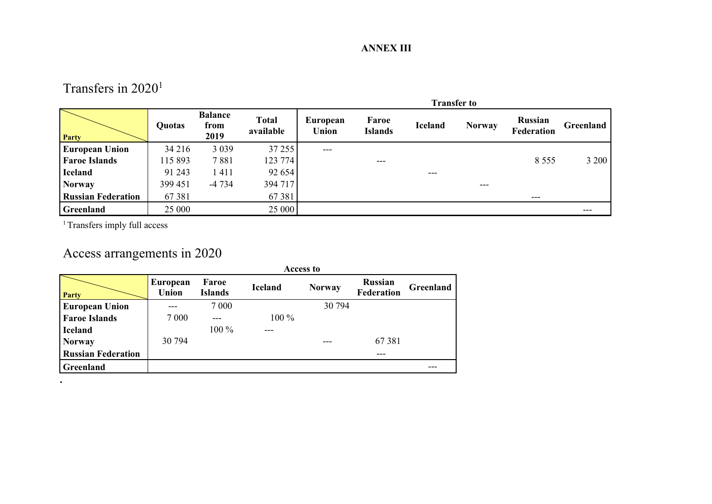## Transfers in 2020<sup>1</sup>

|                           |               |                                |                           | <b>Transfer to</b> |                         |                |               |                              |           |  |  |  |
|---------------------------|---------------|--------------------------------|---------------------------|--------------------|-------------------------|----------------|---------------|------------------------------|-----------|--|--|--|
| Party                     | <b>Quotas</b> | <b>Balance</b><br>from<br>2019 | <b>Total</b><br>available | European<br>Union  | Faroe<br><b>Islands</b> | <b>Iceland</b> | <b>Norway</b> | <b>Russian</b><br>Federation | Greenland |  |  |  |
| <b>European Union</b>     | 34 216        | 3 0 3 9                        | 37 255                    | $---$              |                         |                |               |                              |           |  |  |  |
| <b>Faroe Islands</b>      | 115 893       | 7881                           | 123 774                   |                    | $---$                   |                |               | 8 5 5 5                      | 3 200     |  |  |  |
| <b>Iceland</b>            | 91 243        | 1411                           | 92 654                    |                    |                         | ---            |               |                              |           |  |  |  |
| <b>Norway</b>             | 399 451       | $-4734$                        | 394 717                   |                    |                         |                | $---$         |                              |           |  |  |  |
| <b>Russian Federation</b> | 67381         |                                | 67 381                    |                    |                         |                |               | ---                          |           |  |  |  |
| <b>Greenland</b>          | 25 000        |                                | 25 000                    |                    |                         |                |               |                              | ---       |  |  |  |

<sup>1</sup> Transfers imply full access

**.**

# Access arrangements in 2020

|                           | <b>Access to</b>         |                         |                |               |                                     |           |  |  |  |  |
|---------------------------|--------------------------|-------------------------|----------------|---------------|-------------------------------------|-----------|--|--|--|--|
| Party                     | <b>European</b><br>Union | Faroe<br><b>Islands</b> | <b>Iceland</b> | <b>Norway</b> | <b>Russian</b><br><b>Federation</b> | Greenland |  |  |  |  |
| <b>European Union</b>     |                          | 7 0 0 0                 |                | 30 794        |                                     |           |  |  |  |  |
| <b>Faroe Islands</b>      | 7 0 0 0                  | ---                     | $100\%$        |               |                                     |           |  |  |  |  |
| <b>Iceland</b>            |                          | $100\%$                 | ---            |               |                                     |           |  |  |  |  |
| <b>Norway</b>             | 30 794                   |                         |                |               | 67381                               |           |  |  |  |  |
| <b>Russian Federation</b> |                          |                         |                |               | ---                                 |           |  |  |  |  |
| Greenland                 |                          |                         |                |               |                                     |           |  |  |  |  |